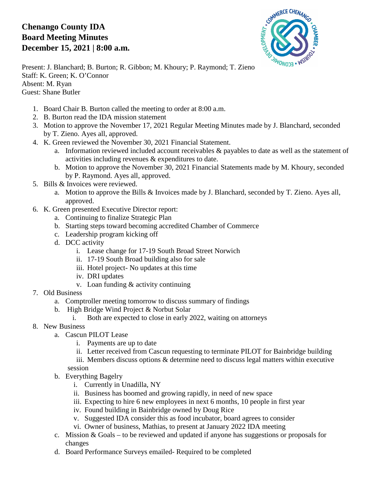## **Chenango County IDA Board Meeting Minutes December 15, 2021 | 8:00 a.m.**



Present: J. Blanchard; B. Burton; R. Gibbon; M. Khoury; P. Raymond; T. Zieno Staff: K. Green; K. O'Connor Absent: M. Ryan Guest: Shane Butler

- 1. Board Chair B. Burton called the meeting to order at 8:00 a.m.
- 2. B. Burton read the IDA mission statement
- 3. Motion to approve the November 17, 2021 Regular Meeting Minutes made by J. Blanchard, seconded by T. Zieno. Ayes all, approved.
- 4. K. Green reviewed the November 30, 2021 Financial Statement.
	- a. Information reviewed included account receivables & payables to date as well as the statement of activities including revenues & expenditures to date.
	- b. Motion to approve the November 30, 2021 Financial Statements made by M. Khoury, seconded by P. Raymond. Ayes all, approved.
- 5. Bills & Invoices were reviewed.
	- a. Motion to approve the Bills & Invoices made by J. Blanchard, seconded by T. Zieno. Ayes all, approved.
- 6. K. Green presented Executive Director report:
	- a. Continuing to finalize Strategic Plan
	- b. Starting steps toward becoming accredited Chamber of Commerce
	- c. Leadership program kicking off
	- d. DCC activity
		- i. Lease change for 17-19 South Broad Street Norwich
		- ii. 17-19 South Broad building also for sale
		- iii. Hotel project- No updates at this time
		- iv. DRI updates
		- v. Loan funding & activity continuing
- 7. Old Business
	- a. Comptroller meeting tomorrow to discuss summary of findings
	- b. High Bridge Wind Project & Norbut Solar
		- i. Both are expected to close in early 2022, waiting on attorneys
- 8. New Business
	- a. Cascun PILOT Lease
		- i. Payments are up to date
		- ii. Letter received from Cascun requesting to terminate PILOT for Bainbridge building
		- iii. Members discuss options & determine need to discuss legal matters within executive session
	- b. Everything Bagelry
		- i. Currently in Unadilla, NY
		- ii. Business has boomed and growing rapidly, in need of new space
		- iii. Expecting to hire 6 new employees in next 6 months, 10 people in first year
		- iv. Found building in Bainbridge owned by Doug Rice
		- v. Suggested IDA consider this as food incubator, board agrees to consider
		- vi. Owner of business, Mathias, to present at January 2022 IDA meeting
	- c. Mission & Goals to be reviewed and updated if anyone has suggestions or proposals for changes
	- d. Board Performance Surveys emailed- Required to be completed